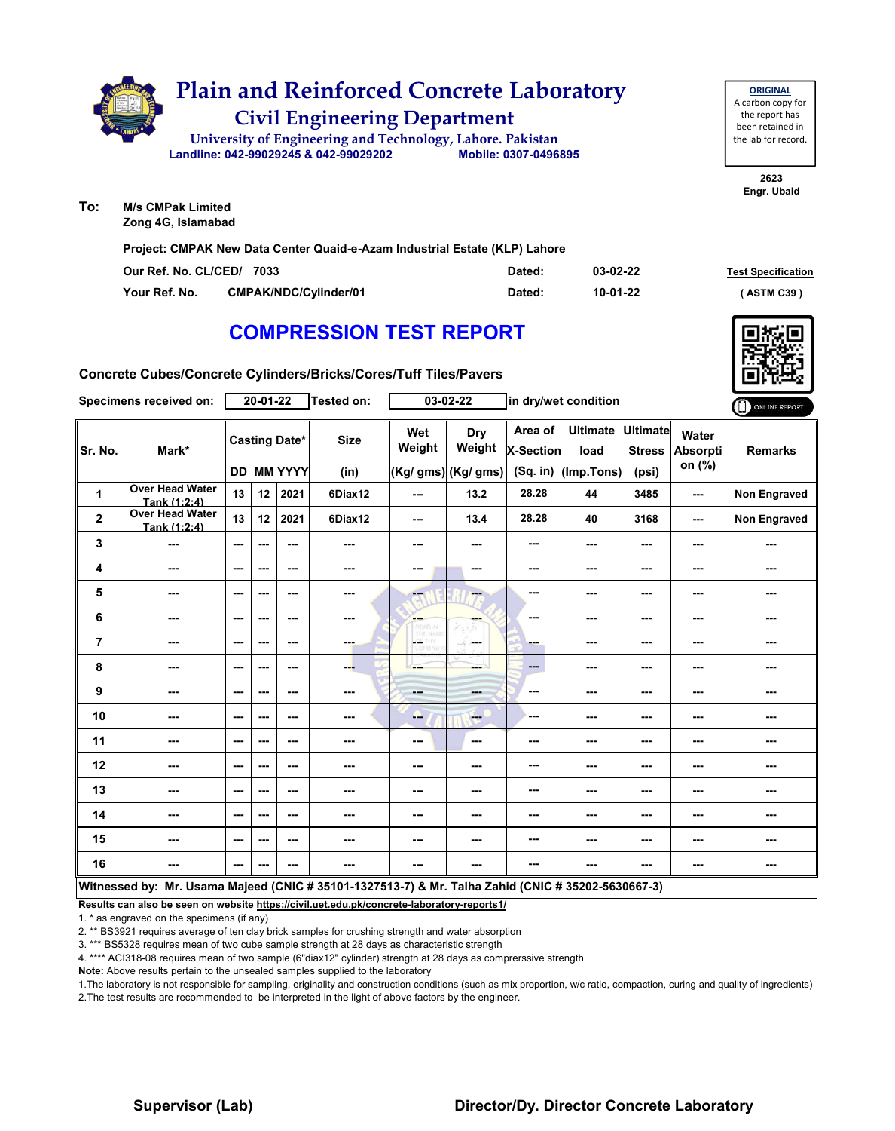|    | <b>Plain and Reinforced Concrete Laboratory</b>            |                      |  |  |  |  |  |  |  |
|----|------------------------------------------------------------|----------------------|--|--|--|--|--|--|--|
|    | <b>Civil Engineering Department</b>                        |                      |  |  |  |  |  |  |  |
|    | University of Engineering and Technology, Lahore. Pakistan |                      |  |  |  |  |  |  |  |
|    | Landline: 042-99029245 & 042-99029202                      | Mobile: 0307-0496895 |  |  |  |  |  |  |  |
| n. | M/c CMDak Limitod                                          |                      |  |  |  |  |  |  |  |

**To: M/s CMPak Limited Zong 4G, Islamabad**

**Project: CMPAK New Data Center Quaid-e-Azam Industrial Estate (KLP) Lahore**

| Our Ref. No. CL/CED/ 7033 |                              | Dated: | 03-02-22 | <b>Test Specification</b> |
|---------------------------|------------------------------|--------|----------|---------------------------|
| Your Ref. No.             | <b>CMPAK/NDC/Cylinder/01</b> | Dated: | 10-01-22 | ASTM C39 '                |

**2623 Engr. Ubaid**

**ORIGINAL** A carbon copy for the report has been retained in the lab for record.

## **COMPRESSION TEST REPORT**

**Concrete Cubes/Concrete Cylinders/Bricks/Cores/Tuff Tiles/Pavers**

|                | Specimens received on:                                                                             |         | $20 - 01 - 22$ |                                           | <b>Tested on:</b>   |                | $03 - 02 - 22$                       |                                           | in dry/wet condition                  |                                           |                             | ONLINE REPORT       |
|----------------|----------------------------------------------------------------------------------------------------|---------|----------------|-------------------------------------------|---------------------|----------------|--------------------------------------|-------------------------------------------|---------------------------------------|-------------------------------------------|-----------------------------|---------------------|
| Sr. No.        | Mark*                                                                                              |         |                | <b>Casting Date*</b><br><b>DD MM YYYY</b> | <b>Size</b><br>(in) | Wet<br>Weight  | Dry<br>Weight<br>(Kg/ gms) (Kg/ gms) | Area of<br><b>X-Section</b><br>$(Sq.$ in) | <b>Ultimate</b><br>load<br>(Imp.Tons) | <b>Ultimate</b><br><b>Stress</b><br>(psi) | Water<br>Absorpti<br>on (%) | <b>Remarks</b>      |
| $\mathbf{1}$   | Over Head Water<br>Tank (1:2:4)                                                                    | 13      | 12             | 2021                                      | 6Diax12             | ---            | 13.2                                 | 28.28                                     | 44                                    | 3485                                      | ---                         | <b>Non Engraved</b> |
| $\mathbf 2$    | <b>Over Head Water</b><br>Tank (1:2:4)                                                             | 13      | 12             | 2021                                      | 6Diax12             | ---            | 13.4                                 | 28.28                                     | 40                                    | 3168                                      | ---                         | Non Engraved        |
| 3              | ---                                                                                                | ---     | ---            | ---                                       | ---                 | ---            | ---                                  | ---                                       | ---                                   | ---                                       | ---                         | ---                 |
| 4              | ---                                                                                                | ---     | $--$           | ---                                       | ---                 | ---            | ---                                  | ---                                       | ---                                   | ---                                       | ---                         | ---                 |
| 5              | ---                                                                                                | ---     | ---            | ---                                       | ---                 | ---            | ---                                  | ---                                       | ---                                   | ---                                       | ---                         | ---                 |
| 6              | ---                                                                                                | ---     | ---            | ---                                       | ---                 | ---            | ---                                  | ---                                       | ---                                   | ---                                       | ---                         | ---                 |
| $\overline{7}$ | ---                                                                                                | $--$    | ---            | ---                                       | ---                 | L.             | in med                               | ---                                       | ---                                   | ---                                       | ---                         | ---                 |
| 8              | ---                                                                                                | ---     | ---            | ---                                       | ---                 | ---            | ---                                  | $\overline{a}$                            | ---                                   | ---                                       | ---                         | ---                 |
| 9              | ---                                                                                                | ---     | ---            | ---                                       | ---                 | <b>Barbara</b> | <b>STORY</b>                         | ---                                       | ---                                   | ---                                       | ---                         | ---                 |
| 10             | ---                                                                                                | $--$    | $--$           | $\overline{\phantom{a}}$                  | ---                 | ---            | $\qquad \qquad -$                    | ---                                       | ---                                   | ---                                       | ---                         | ---                 |
| 11             | ---                                                                                                | ---     | ---            | ---                                       | ---                 | ---            | ---                                  | ---                                       | ---                                   | ---                                       | ---                         | ---                 |
| 12             | ---                                                                                                | $- - -$ | ---            | ---                                       | ---                 | ---            | ---                                  | ---                                       | ---                                   | ---                                       | ---                         | ---                 |
| 13             | ---                                                                                                | ---     | ---            | ---                                       | ---                 | ---            | $-$                                  | ---                                       | ---                                   | ---                                       | ---                         | ---                 |
| 14             | ---                                                                                                | $--$    | ---            | ---                                       | ---                 | ---            | ---                                  | ---                                       | ---                                   | ---                                       | ---                         | ---                 |
| 15             | ---                                                                                                | ---     | ---            | ---                                       | ---                 | ---            | ---                                  | ---                                       | ---                                   | ---                                       | ---                         | ---                 |
| 16             | ---                                                                                                | ---     | ---            | ---                                       | ---                 | ---            | ---                                  | ---                                       | ---                                   | ---                                       | ---                         | ---                 |
|                | Witnessed by: Mr. Usama Majeed (CNIC # 35101-1327513-7) & Mr. Talha Zahid (CNIC # 35202-5630667-3) |         |                |                                           |                     |                |                                      |                                           |                                       |                                           |                             |                     |

**Results can also be seen on website https://civil.uet.edu.pk/concrete-laboratory-reports1/**

1. \* as engraved on the specimens (if any)

2. \*\* BS3921 requires average of ten clay brick samples for crushing strength and water absorption

3. \*\*\* BS5328 requires mean of two cube sample strength at 28 days as characteristic strength

4. \*\*\*\* ACI318-08 requires mean of two sample (6"diax12" cylinder) strength at 28 days as comprerssive strength

**Note:** Above results pertain to the unsealed samples supplied to the laboratory

1.The laboratory is not responsible for sampling, originality and construction conditions (such as mix proportion, w/c ratio, compaction, curing and quality of ingredients) 2.The test results are recommended to be interpreted in the light of above factors by the engineer.

#### **Supervisor (Lab) Director/Dy. Director Concrete Laboratory**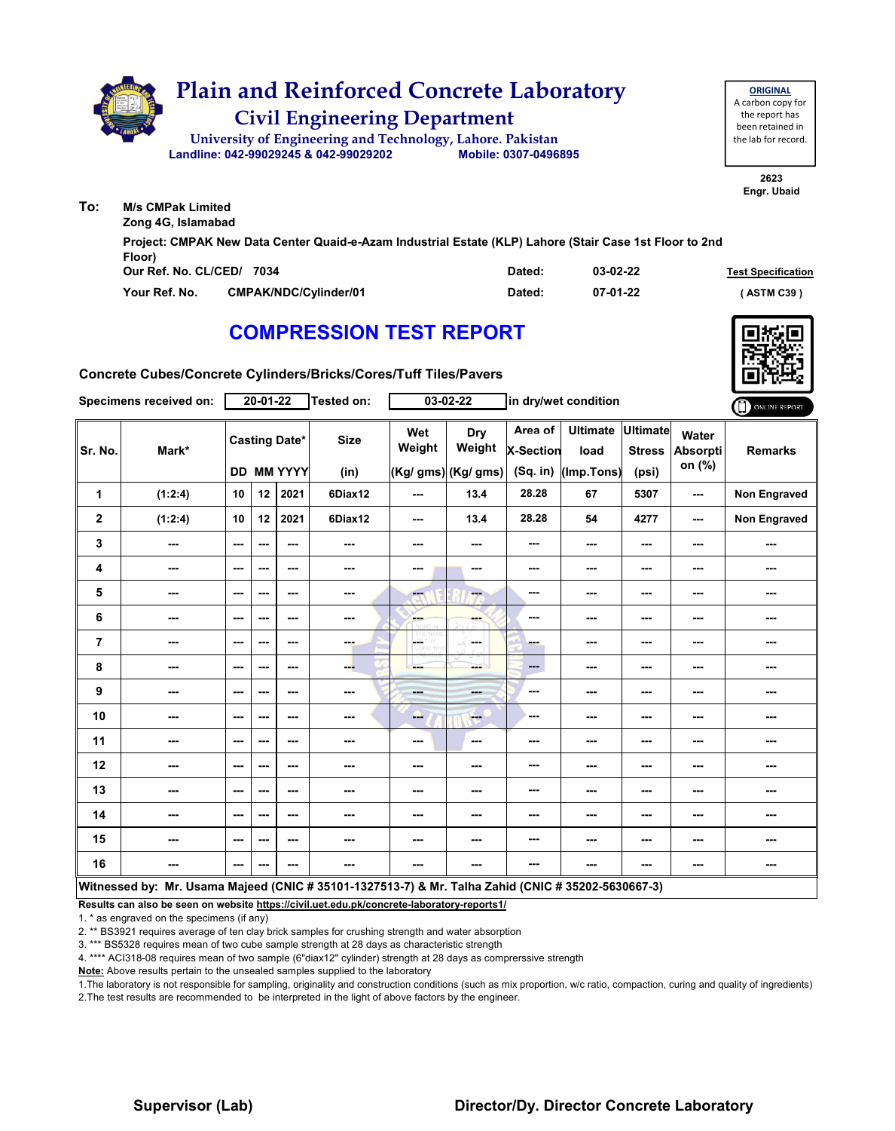|     | <b>Plain and Reinforced Concrete Laboratory</b><br><b>Civil Engineering Department</b><br>University of Engineering and Technology, Lahore. Pakistan<br>Mobile: 0307-0496895<br>Landline: 042-99029245 & 042-99029202 | <b>ORIGINAL</b><br>A carbon copy for<br>the report has<br>been retained in<br>the lab for record. |
|-----|-----------------------------------------------------------------------------------------------------------------------------------------------------------------------------------------------------------------------|---------------------------------------------------------------------------------------------------|
| To: | <b>M/s CMPak Limited</b>                                                                                                                                                                                              | 2623<br>Engr. Ubaid                                                                               |
|     | Zong 4G, Islamabad                                                                                                                                                                                                    |                                                                                                   |
|     | Project: CMPAK New Data Center Quaid-e-Azam Industrial Estate (KLP) Lahore (Stair Case 1st Floor to 2nd<br>Floor)                                                                                                     |                                                                                                   |

| $\cdots$<br>Our Ref. No. CL/CED/ 7034 |                              | Dated: | 03-02-22 | <b>Test Specification</b> |
|---------------------------------------|------------------------------|--------|----------|---------------------------|
| Your Ref. No.                         | <b>CMPAK/NDC/Cylinder/01</b> | Dated: | 07-01-22 | (ASTM C39)                |

## **COMPRESSION TEST REPORT**

**Concrete Cubes/Concrete Cylinders/Bricks/Cores/Tuff Tiles/Pavers**

|                         | Specimens received on:                                                                             |                          | $20 - 01 - 22$           |                                           | Tested on:          |                 | $03 - 02 - 22$                               |                                           | in dry/wet condition                  |                                           |                                    | ONLINE REPORT  |
|-------------------------|----------------------------------------------------------------------------------------------------|--------------------------|--------------------------|-------------------------------------------|---------------------|-----------------|----------------------------------------------|-------------------------------------------|---------------------------------------|-------------------------------------------|------------------------------------|----------------|
| Sr. No.                 | Mark*                                                                                              |                          |                          | <b>Casting Date*</b><br><b>DD MM YYYY</b> | <b>Size</b><br>(in) | Wet<br>Weight   | <b>Dry</b><br>Weight<br>$(Kg/gms)$ (Kg/ gms) | Area of<br><b>X-Section</b><br>$(Sq.$ in) | <b>Ultimate</b><br>load<br>(Imp.Tons) | <b>Ultimate</b><br><b>Stress</b><br>(psi) | Water<br><b>Absorpti</b><br>on (%) | <b>Remarks</b> |
| 1                       | (1:2:4)                                                                                            | 10                       | 12                       | 2021                                      | 6Diax12             | ---             | 13.4                                         | 28.28                                     | 67                                    | 5307                                      | ---                                | Non Engraved   |
| $\overline{\mathbf{2}}$ | (1:2:4)                                                                                            | 10                       | 12                       | 2021                                      | 6Diax12             | $\sim$ $\sim$   | 13.4                                         | 28.28                                     | 54                                    | 4277                                      | $\sim$ $\sim$                      | Non Engraved   |
| 3                       | ---                                                                                                | ---                      | ---                      | $\overline{\phantom{a}}$                  |                     | ---             | ---                                          | ---                                       | ---                                   | ---                                       | ---                                | ---            |
| 4                       | ---                                                                                                | $\overline{\phantom{a}}$ | ---                      | ---                                       |                     | ---             | ---                                          | ---                                       | ---                                   | ---                                       | ---                                | ---            |
| 5                       | ---                                                                                                | ---                      | ---                      | ---                                       | ---                 | <b>Fee</b>      | ---                                          | ---                                       | ---                                   | ---                                       | ---                                | ---            |
| 6                       | ---                                                                                                | ---                      | ---                      | ---                                       | ---                 | ---             | ---                                          | ---                                       | ---                                   | ---                                       | ---                                | ---            |
| $\overline{7}$          | ---                                                                                                | ---                      | $\overline{\phantom{a}}$ | ---                                       | ---                 | posts.<br>o von | in med                                       | <b>Barnet</b>                             | ---                                   | ---                                       | ---                                | ---            |
| 8                       | ---                                                                                                | ---                      | ---                      | ---                                       | ---                 | ---             | ---                                          | ---                                       | ---                                   | ---                                       | ---                                | ---            |
| 9                       | ---                                                                                                | ---                      | ---                      | ---                                       |                     | ---             | ---                                          | ---                                       | ---                                   | ---                                       | ---                                | ---            |
| 10                      | ---                                                                                                | $\overline{\phantom{a}}$ | ---                      | $- - -$                                   | ---                 | ---             | $-1$                                         | ---                                       | ---                                   | ---                                       | ---                                | ---            |
| 11                      | ---                                                                                                | ---                      | ---                      | ---                                       | ---                 | ---             | ---                                          | ---                                       |                                       | ---                                       | ---                                | ---            |
| 12                      | ---                                                                                                | ---                      | ---                      | ---                                       | ---                 | ---             | ---                                          | ---                                       | ---                                   | ---                                       | ---                                |                |
| 13                      | ---                                                                                                | ---                      | ---                      | $\sim$ $\sim$                             | ---                 | $\sim$ $\sim$   | ---                                          | ---                                       | ---                                   | ---                                       | ---                                | ---            |
| 14                      | ---                                                                                                | ---                      | ---                      | ---                                       | ---                 | ---             | ---                                          | ---                                       | ---                                   | ---                                       | ---                                |                |
| 15                      | ---                                                                                                | ---                      | ---                      | ---                                       | ---                 | ---             | ---                                          | ---                                       | ---                                   | ---                                       | ---                                | ---            |
| 16                      | ---                                                                                                | ---                      | $--$                     | ---                                       | ---                 | ---             | ---                                          | ---                                       | ---                                   | ---                                       | ---                                | ---            |
|                         | Witnessed by: Mr. Usama Majeed (CNIC # 35101-1327513-7) & Mr. Talha Zahid (CNIC # 35202-5630667-3) |                          |                          |                                           |                     |                 |                                              |                                           |                                       |                                           |                                    |                |

**Results can also be seen on website https://civil.uet.edu.pk/concrete-laboratory-reports1/**

1. \* as engraved on the specimens (if any)

2. \*\* BS3921 requires average of ten clay brick samples for crushing strength and water absorption

3. \*\*\* BS5328 requires mean of two cube sample strength at 28 days as characteristic strength

4. \*\*\*\* ACI318-08 requires mean of two sample (6"diax12" cylinder) strength at 28 days as comprerssive strength

**Note:** Above results pertain to the unsealed samples supplied to the laboratory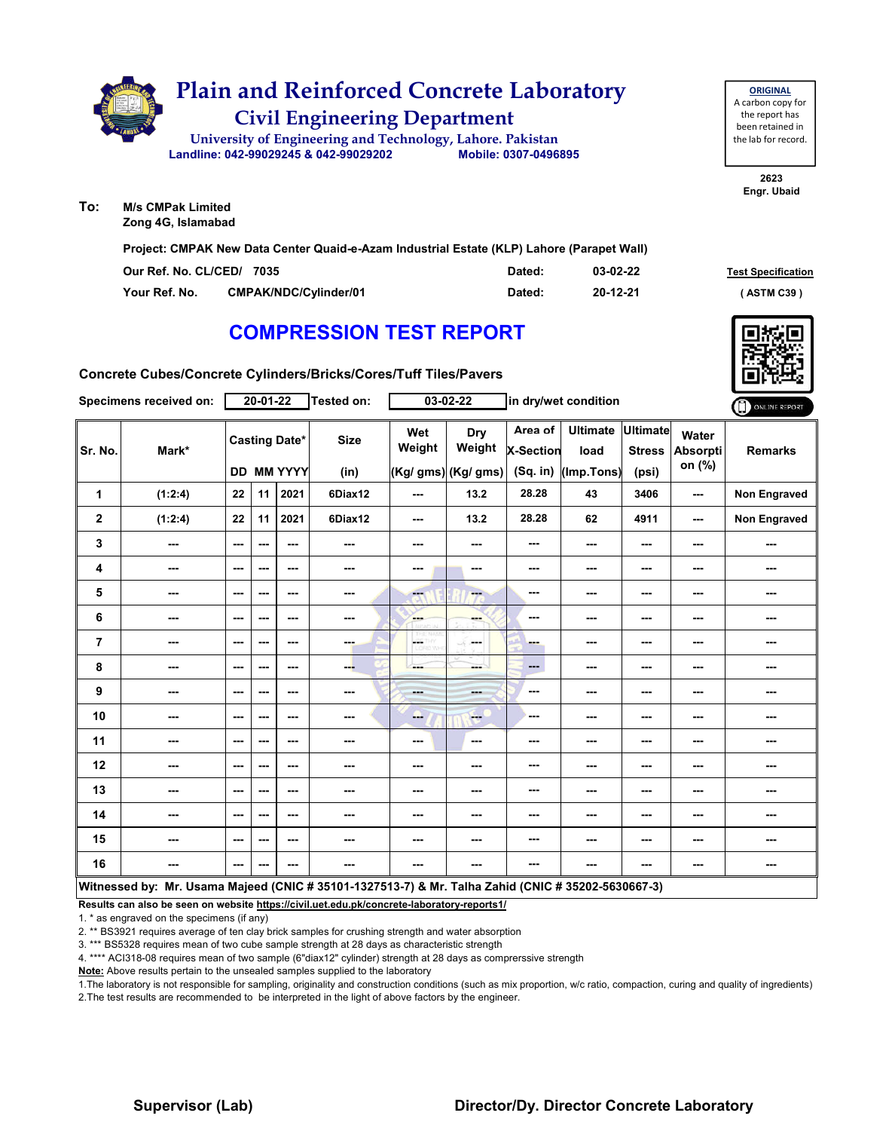|  | <b>Plain and Reinforced Concrete Laboratory</b>            |                      |  |  |  |  |  |  |  |
|--|------------------------------------------------------------|----------------------|--|--|--|--|--|--|--|
|  | <b>Civil Engineering Department</b>                        |                      |  |  |  |  |  |  |  |
|  | University of Engineering and Technology, Lahore. Pakistan |                      |  |  |  |  |  |  |  |
|  | Landline: 042-99029245 & 042-99029202                      | Mobile: 0307-0496895 |  |  |  |  |  |  |  |
|  |                                                            |                      |  |  |  |  |  |  |  |
|  |                                                            |                      |  |  |  |  |  |  |  |

| <b>ORIGINAL</b>     |
|---------------------|
| A carbon copy for   |
| the report has      |
| been retained in    |
| the lab for record. |
|                     |

**2623 Engr. Ubaid**

**To: M/s CMPak Limited Zong 4G, Islamabad**

**Project: CMPAK New Data Center Quaid-e-Azam Industrial Estate (KLP) Lahore (Parapet Wall)**

| Our Ref. No. CL/CED/ 7035 |                              | Dated: | 03-02-22 | <b>Test Specification</b> |
|---------------------------|------------------------------|--------|----------|---------------------------|
| Your Ref. No.             | <b>CMPAK/NDC/Cylinder/01</b> | Dated: | 20-12-21 | <b>ASTM C39</b>           |

# **COMPRESSION TEST REPORT**

**Concrete Cubes/Concrete Cylinders/Bricks/Cores/Tuff Tiles/Pavers**

|                | Specimens received on:                                                                             |               | $20 - 01 - 22$ |                                    | <b>Tested on:</b>   |                  | 03-02-22                             |                                         | in dry/wet condition                  |                                           |                                    | ONLINE REPORT  |
|----------------|----------------------------------------------------------------------------------------------------|---------------|----------------|------------------------------------|---------------------|------------------|--------------------------------------|-----------------------------------------|---------------------------------------|-------------------------------------------|------------------------------------|----------------|
| Sr. No.        | Mark*                                                                                              |               |                | <b>Casting Date*</b><br>DD MM YYYY | <b>Size</b><br>(in) | Wet<br>Weight    | Dry<br>Weight<br>(Kg/ gms) (Kg/ gms) | Area of<br><b>X-Section</b><br>(Sq. in) | <b>Ultimate</b><br>load<br>(Imp.Tons) | <b>Ultimate</b><br><b>Stress</b><br>(psi) | Water<br><b>Absorpti</b><br>on (%) | <b>Remarks</b> |
| $\mathbf{1}$   | (1:2:4)                                                                                            | 22            | 11             | 2021                               | 6Diax12             | ---              | 13.2                                 | 28.28                                   | 43                                    | 3406                                      | ---                                | Non Engraved   |
| $\overline{2}$ | (1:2:4)                                                                                            | 22            | 11             | 2021                               | 6Diax12             | ---              | 13.2                                 | 28.28                                   | 62                                    | 4911                                      | ---                                | Non Engraved   |
| 3              | ---                                                                                                | ---           | ---            | ---                                | ---                 | ---              | ---                                  | ---                                     | ---                                   | $--$                                      | ---                                | ---            |
| 4              | ---                                                                                                | $- - -$       | ---            | $\sim$ $\sim$                      | ---                 | ---              | ---                                  | ---                                     | ---                                   | ---                                       | ---                                | ---            |
| 5              | ---                                                                                                | ---           | ---            | ---                                | ---                 | ---              | ---                                  | ---                                     | ---                                   | ---                                       | ---                                | ---            |
| 6              | ---                                                                                                | ---           | ---            | ---                                | ---                 | <b>Albert</b>    | ---                                  | ---                                     | ---                                   | $--$                                      | ---                                | ---            |
| 7              | ---                                                                                                | ---           | ---            | ---                                | ---                 | CETHY<br>LORD WH | ---                                  | ---                                     | ---                                   | $--$                                      | ---                                | ---            |
| 8              | ---                                                                                                | ---           | ---            | ---                                | ---                 | ---              | ---                                  | ---                                     | ---                                   | $--$                                      | ---                                | ---            |
| 9              | ---                                                                                                | $-$           | ---            | ---                                | ---                 | <b>Barbara</b>   | ---                                  | ---                                     | ---                                   | ---                                       | ---                                | ---            |
| 10             | ---                                                                                                | ---           | ---            | ---                                | ---                 | --               | <b>Fee</b>                           | ---                                     | ---                                   | ---                                       | ---                                | ---            |
| 11             | ---                                                                                                | ---           | $- - -$        | ---                                | ---                 | ---              | $\sim$                               | ---                                     | ---                                   | ---                                       | ---                                | ---            |
| 12             | ---                                                                                                | ---           | ---            | ---                                | ---                 | ---              | ---                                  | ---                                     | ---                                   | ---                                       | ---                                | ---            |
| 13             | ---                                                                                                | $- - -$       | ---            | ---                                | ---                 | ---              | ---                                  | ---                                     | ---                                   | ---                                       | ---                                | ---            |
| 14             | ---                                                                                                | ---           | ---            | ---                                | ---                 | ---              |                                      | ---                                     | ---                                   | $--$                                      | ---                                | ---            |
| 15             | ---                                                                                                | ---           | ---            | ---                                | ---                 | ---              | ---                                  | ---                                     | ---                                   | ---                                       | ---                                | ---            |
| 16             | ---                                                                                                | $\sim$ $\sim$ | ---            | ---                                | ---                 | ---              | ---                                  | ---                                     | ---                                   | ---                                       | ---                                | ---            |
|                | Witnessed by: Mr. Usama Majeed (CNIC # 35101-1327513-7) & Mr. Talha Zahid (CNIC # 35202-5630667-3) |               |                |                                    |                     |                  |                                      |                                         |                                       |                                           |                                    |                |

**Results can also be seen on website https://civil.uet.edu.pk/concrete-laboratory-reports1/**

1. \* as engraved on the specimens (if any)

2. \*\* BS3921 requires average of ten clay brick samples for crushing strength and water absorption

3. \*\*\* BS5328 requires mean of two cube sample strength at 28 days as characteristic strength

4. \*\*\*\* ACI318-08 requires mean of two sample (6"diax12" cylinder) strength at 28 days as comprerssive strength

**Note:** Above results pertain to the unsealed samples supplied to the laboratory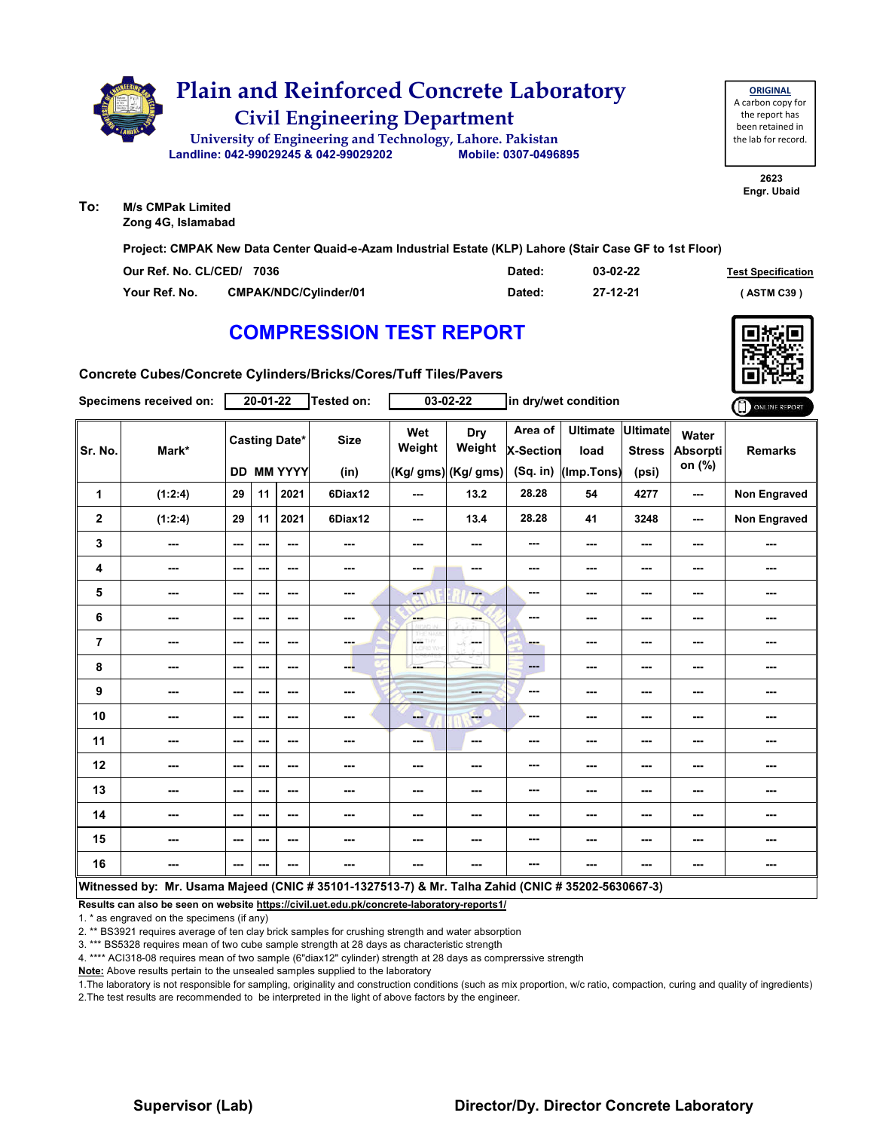

**ORIGINAL** A carbon copy for the report has been retained in the lab for record.

> **2623 Engr. Ubaid**

**To: M/s CMPak Limited Zong 4G, Islamabad**

**Project: CMPAK New Data Center Quaid-e-Azam Industrial Estate (KLP) Lahore (Stair Case GF to 1st Floor)**

| Our Ref. No. CL/CED/ 7036 |                       | Dated: | 03-02-22 | <b>Test Specification</b> |
|---------------------------|-----------------------|--------|----------|---------------------------|
| Your Ref. No.             | CMPAK/NDC/Cvlinder/01 | Dated: | 27-12-21 | (ASTM C39)                |

# **COMPRESSION TEST REPORT**



**Concrete Cubes/Concrete Cylinders/Bricks/Cores/Tuff Tiles/Pavers**

|                | Specimens received on:                                                                             |                                                                                                | 20-01-22 |                                           | Tested on:          |               | 03-02-22                                    |                                  | in dry/wet condition                    |                          |                                    | ONLINE REPORT       |
|----------------|----------------------------------------------------------------------------------------------------|------------------------------------------------------------------------------------------------|----------|-------------------------------------------|---------------------|---------------|---------------------------------------------|----------------------------------|-----------------------------------------|--------------------------|------------------------------------|---------------------|
| Sr. No.        | Mark*                                                                                              |                                                                                                |          | <b>Casting Date*</b><br><b>DD MM YYYY</b> | <b>Size</b><br>(in) | Wet<br>Weight | <b>Dry</b><br>Weight<br>(Kg/ gms) (Kg/ gms) | Area of<br>X-Section<br>(Sq. in) | Ultimate Ultimate<br>load<br>(Imp.Tons) | <b>Stress</b><br>(psi)   | Water<br><b>Absorpti</b><br>on (%) | <b>Remarks</b>      |
| 1              | (1:2:4)                                                                                            | 29                                                                                             | 11       | 2021                                      | 6Diax12             | ---           | 13.2                                        | 28.28                            | 54                                      | 4277                     | ---                                | <b>Non Engraved</b> |
| $\mathbf{2}$   | (1:2:4)                                                                                            | 29                                                                                             | 11       | 2021                                      | 6Diax12             | $- - -$       | 13.4                                        | 28.28                            | 41                                      | 3248                     | $-$                                | <b>Non Engraved</b> |
|                |                                                                                                    |                                                                                                |          |                                           |                     |               |                                             |                                  |                                         |                          |                                    |                     |
| $\mathbf 3$    | $\overline{\phantom{a}}$                                                                           | $--$                                                                                           | ---      | $- - -$                                   | ---                 | ---           | ---                                         | ---                              | ---                                     | $\overline{\phantom{a}}$ | ---                                | ---                 |
| 4              | ---                                                                                                | ---                                                                                            | ---      | ---                                       | ---                 | ---           | ---                                         | ---                              | $--$                                    | $\overline{\phantom{a}}$ | ---                                | ---                 |
| 5              | ---                                                                                                | ---                                                                                            | $--$     | ---                                       | ---                 | ---           | ---                                         | $\cdots$                         | $--$                                    | $\overline{\phantom{a}}$ | ---                                | ---                 |
| 6              | ---                                                                                                | $\overline{\phantom{a}}$                                                                       | $--$     | $\overline{\phantom{a}}$                  | ---                 | ---           | ---                                         | $\cdots$                         | $--$                                    | $\overline{\phantom{a}}$ | ---                                | ---                 |
| $\overline{7}$ | ---                                                                                                | ---                                                                                            | ---      | $\overline{\phantom{a}}$                  | ---                 | L.<br>w       | in men                                      | <b>PO 10</b>                     | ---                                     | ---                      | ---                                | ---                 |
| 8              | ---                                                                                                | $- - -$                                                                                        | ---      | $- - -$                                   | ---                 | ---           | ---                                         | $\qquad \qquad \cdots$           | ---                                     | ---                      | ---                                | ---                 |
| 9              | ---                                                                                                | ---                                                                                            | ---      | $\overline{\phantom{a}}$                  | ---                 | ---           | ---                                         | ---                              | ---                                     | ---                      | ---                                | ---                 |
| 10             | ---                                                                                                | $--$                                                                                           | ---      | ---                                       | ---                 | <b>ALC:</b>   | <b>COL</b>                                  | ---                              | ---                                     | ---                      | ---                                | ---                 |
| 11             | ---                                                                                                | $--$                                                                                           | ---      | ---                                       | ---                 | $--$          | $\overline{\phantom{a}}$                    | ---                              | ---                                     | ---                      | ---                                | ---                 |
| 12             | ---                                                                                                | ---                                                                                            | ---      | ---                                       | ---                 | ---           | ---                                         | ---                              | ---                                     | ---                      | ---                                | ---                 |
| 13             | ---                                                                                                | $--$                                                                                           | $--$     | ---                                       | ---                 | ---           | ---                                         | ---                              | ---                                     | $\overline{\phantom{a}}$ | ---                                | ---                 |
| 14             | ---                                                                                                | ---                                                                                            | ---      | $\overline{\phantom{a}}$                  | ---                 | ---           | ---                                         | ---                              | ---                                     | ---                      | ---                                |                     |
| 15             | ---                                                                                                | ---                                                                                            | ---      | ---                                       |                     | ---           | ---                                         | ---                              | ---                                     | ---                      | ---                                | ---                 |
| 16             | ---                                                                                                | $\frac{1}{2} \left( \frac{1}{2} \right) \left( \frac{1}{2} \right) \left( \frac{1}{2} \right)$ | ---      | ---                                       | ---                 | $\sim$        | ---                                         | ---                              | ---                                     | ---                      | ---                                | ---                 |
|                | Witnessed by: Mr. Usama Majeed (CNIC # 35101-1327513-7) & Mr. Talha Zahid (CNIC # 35202-5630667-3) |                                                                                                |          |                                           |                     |               |                                             |                                  |                                         |                          |                                    |                     |

**Results can also be seen on website https://civil.uet.edu.pk/concrete-laboratory-reports1/**

1. \* as engraved on the specimens (if any)

2. \*\* BS3921 requires average of ten clay brick samples for crushing strength and water absorption

3. \*\*\* BS5328 requires mean of two cube sample strength at 28 days as characteristic strength

4. \*\*\*\* ACI318-08 requires mean of two sample (6"diax12" cylinder) strength at 28 days as comprerssive strength

**Note:** Above results pertain to the unsealed samples supplied to the laboratory